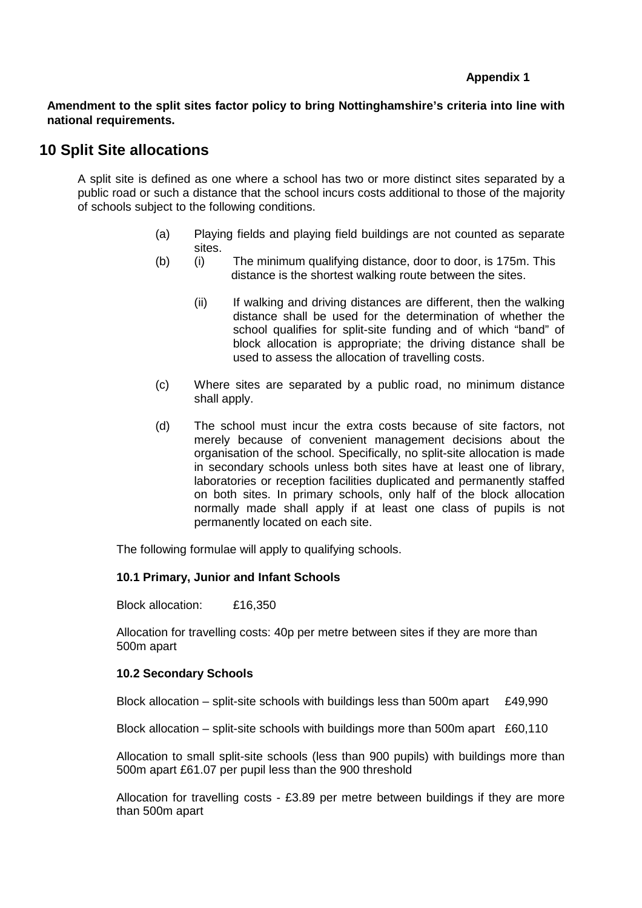### **Appendix 1**

**Amendment to the split sites factor policy to bring Nottinghamshire's criteria into line with national requirements.** 

# **10 Split Site allocations**

 A split site is defined as one where a school has two or more distinct sites separated by a public road or such a distance that the school incurs costs additional to those of the majority of schools subject to the following conditions.

- (a) Playing fields and playing field buildings are not counted as separate sites.
- (b) (i) The minimum qualifying distance, door to door, is 175m. This distance is the shortest walking route between the sites.
	- (ii) If walking and driving distances are different, then the walking distance shall be used for the determination of whether the school qualifies for split-site funding and of which "band" of block allocation is appropriate; the driving distance shall be used to assess the allocation of travelling costs.
- (c) Where sites are separated by a public road, no minimum distance shall apply.
- (d) The school must incur the extra costs because of site factors, not merely because of convenient management decisions about the organisation of the school. Specifically, no split-site allocation is made in secondary schools unless both sites have at least one of library, laboratories or reception facilities duplicated and permanently staffed on both sites. In primary schools, only half of the block allocation normally made shall apply if at least one class of pupils is not permanently located on each site.

The following formulae will apply to qualifying schools.

# **10.1 Primary, Junior and Infant Schools**

Block allocation: £16,350

Allocation for travelling costs: 40p per metre between sites if they are more than 500m apart

# **10.2 Secondary Schools**

Block allocation – split-site schools with buildings less than 500m apart  $£49,990$ 

Block allocation – split-site schools with buildings more than 500m apart  $£60,110$ 

Allocation to small split-site schools (less than 900 pupils) with buildings more than 500m apart £61.07 per pupil less than the 900 threshold

Allocation for travelling costs - £3.89 per metre between buildings if they are more than 500m apart